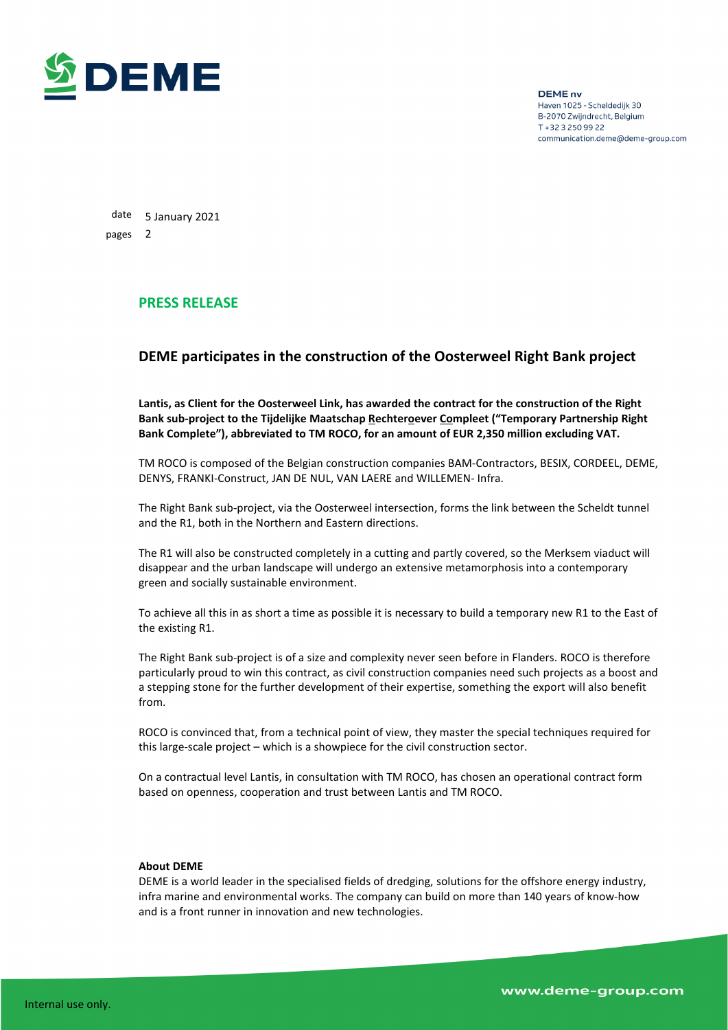

**DEME** nv Haven 1025 - Scheldedijk 30 B-2070 Zwijndrecht, Belgium T + 32 3 250 99 22 communication.deme@deme-group.com

date 5 January 2021 pages 2

## **PRESS RELEASE**

## **DEME participates in the construction of the Oosterweel Right Bank project**

**Lantis, as Client for the Oosterweel Link, has awarded the contract for the construction of the Right Bank sub-project to the Tijdelijke Maatschap Rechteroever Compleet ("Temporary Partnership Right Bank Complete"), abbreviated to TM ROCO, for an amount of EUR 2,350 million excluding VAT.**

TM ROCO is composed of the Belgian construction companies BAM-Contractors, BESIX, CORDEEL, DEME, DENYS, FRANKI-Construct, JAN DE NUL, VAN LAERE and WILLEMEN- Infra.

The Right Bank sub-project, via the Oosterweel intersection, forms the link between the Scheldt tunnel and the R1, both in the Northern and Eastern directions.

The R1 will also be constructed completely in a cutting and partly covered, so the Merksem viaduct will disappear and the urban landscape will undergo an extensive metamorphosis into a contemporary green and socially sustainable environment.

To achieve all this in as short a time as possible it is necessary to build a temporary new R1 to the East of the existing R1.

The Right Bank sub-project is of a size and complexity never seen before in Flanders. ROCO is therefore particularly proud to win this contract, as civil construction companies need such projects as a boost and a stepping stone for the further development of their expertise, something the export will also benefit from.

ROCO is convinced that, from a technical point of view, they master the special techniques required for this large-scale project – which is a showpiece for the civil construction sector.

On a contractual level Lantis, in consultation with TM ROCO, has chosen an operational contract form based on openness, cooperation and trust between Lantis and TM ROCO.

## **About DEME**

DEME is a world leader in the specialised fields of dredging, solutions for the offshore energy industry, infra marine and environmental works. The company can build on more than 140 years of know-how and is a front runner in innovation and new technologies.